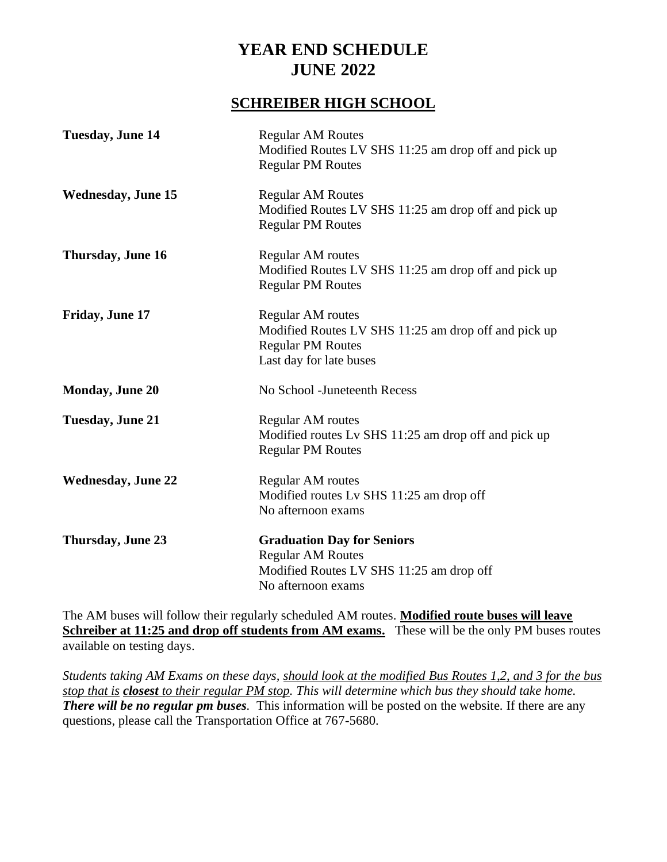### **SCHREIBER HIGH SCHOOL**

| <b>Tuesday, June 14</b>   | <b>Regular AM Routes</b><br>Modified Routes LV SHS 11:25 am drop off and pick up<br><b>Regular PM Routes</b>                            |
|---------------------------|-----------------------------------------------------------------------------------------------------------------------------------------|
| <b>Wednesday, June 15</b> | <b>Regular AM Routes</b><br>Modified Routes LV SHS 11:25 am drop off and pick up<br><b>Regular PM Routes</b>                            |
| Thursday, June 16         | Regular AM routes<br>Modified Routes LV SHS 11:25 am drop off and pick up<br><b>Regular PM Routes</b>                                   |
| Friday, June 17           | <b>Regular AM</b> routes<br>Modified Routes LV SHS 11:25 am drop off and pick up<br><b>Regular PM Routes</b><br>Last day for late buses |
| <b>Monday, June 20</b>    | No School - Juneteenth Recess                                                                                                           |
| <b>Tuesday, June 21</b>   | Regular AM routes<br>Modified routes Lv SHS 11:25 am drop off and pick up<br><b>Regular PM Routes</b>                                   |
| <b>Wednesday, June 22</b> | <b>Regular AM</b> routes<br>Modified routes Lv SHS 11:25 am drop off<br>No afternoon exams                                              |
| Thursday, June 23         | <b>Graduation Day for Seniors</b><br><b>Regular AM Routes</b><br>Modified Routes LV SHS 11:25 am drop off<br>No afternoon exams         |

The AM buses will follow their regularly scheduled AM routes. **Modified route buses will leave Schreiber at 11:25 and drop off students from AM exams.** These will be the only PM buses routes available on testing days.

*Students taking AM Exams on these days, should look at the modified Bus Routes 1,2, and 3 for the bus stop that is closest to their regular PM stop. This will determine which bus they should take home. There will be no regular pm buses.* This information will be posted on the website. If there are any questions, please call the Transportation Office at 767-5680.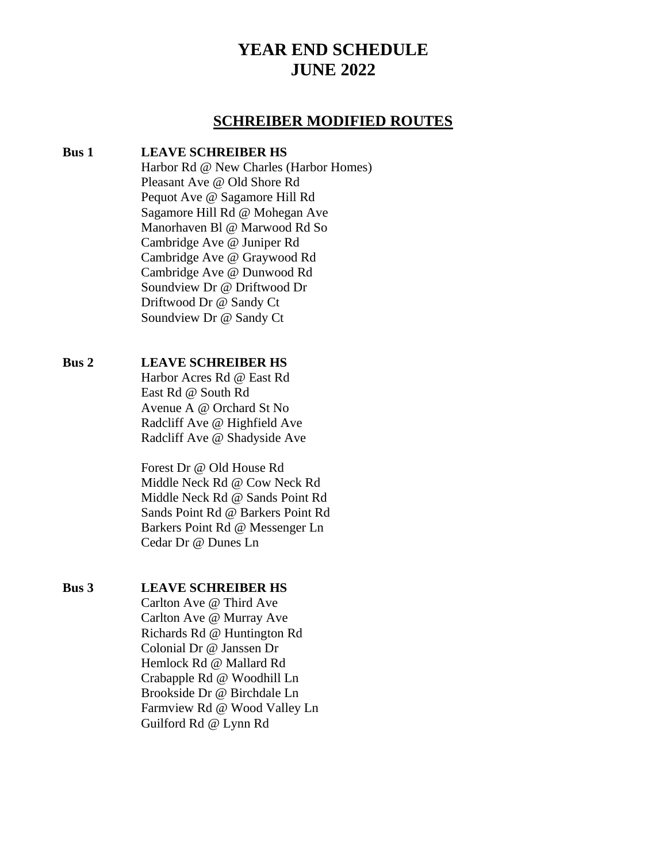#### **SCHREIBER MODIFIED ROUTES**

#### **Bus 1 LEAVE SCHREIBER HS**

Harbor Rd @ New Charles (Harbor Homes) Pleasant Ave @ Old Shore Rd Pequot Ave @ Sagamore Hill Rd Sagamore Hill Rd @ Mohegan Ave Manorhaven Bl @ Marwood Rd So Cambridge Ave @ Juniper Rd Cambridge Ave @ Graywood Rd Cambridge Ave @ Dunwood Rd Soundview Dr @ Driftwood Dr Driftwood Dr @ Sandy Ct Soundview Dr @ Sandy Ct

#### **Bus 2 LEAVE SCHREIBER HS**

Harbor Acres Rd @ East Rd East Rd @ South Rd Avenue A @ Orchard St No Radcliff Ave @ Highfield Ave Radcliff Ave @ Shadyside Ave

Forest Dr @ Old House Rd Middle Neck Rd @ Cow Neck Rd Middle Neck Rd @ Sands Point Rd Sands Point Rd @ Barkers Point Rd Barkers Point Rd @ Messenger Ln Cedar Dr @ Dunes Ln

#### **Bus 3 LEAVE SCHREIBER HS**

Carlton Ave @ Third Ave Carlton Ave @ Murray Ave Richards Rd @ Huntington Rd Colonial Dr @ Janssen Dr Hemlock Rd @ Mallard Rd Crabapple Rd @ Woodhill Ln Brookside Dr @ Birchdale Ln Farmview Rd @ Wood Valley Ln Guilford Rd @ Lynn Rd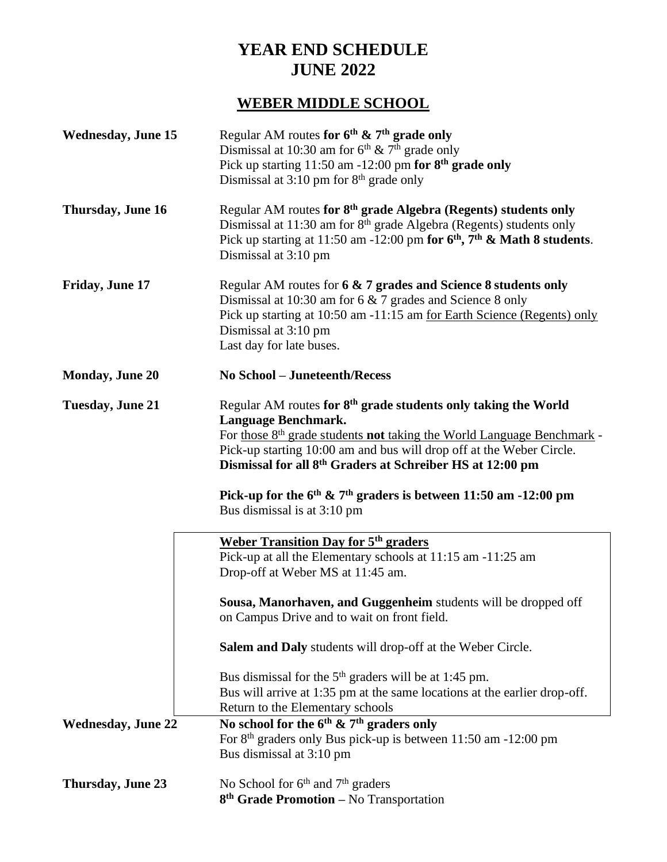# **WEBER MIDDLE SCHOOL**

| <b>Wednesday, June 15</b> | Regular AM routes for $6^{th}$ & $7^{th}$ grade only<br>Dismissal at 10:30 am for $6th \& 7th$ grade only<br>Pick up starting $11:50$ am $-12:00$ pm for $8th$ grade only<br>Dismissal at $3:10 \text{ pm}$ for $8^{\text{th}}$ grade only                                                                                                                                                                                                            |
|---------------------------|-------------------------------------------------------------------------------------------------------------------------------------------------------------------------------------------------------------------------------------------------------------------------------------------------------------------------------------------------------------------------------------------------------------------------------------------------------|
| Thursday, June 16         | Regular AM routes for 8 <sup>th</sup> grade Algebra (Regents) students only<br>Dismissal at 11:30 am for 8 <sup>th</sup> grade Algebra (Regents) students only<br>Pick up starting at 11:50 am -12:00 pm for $6th$ , $7th$ & Math 8 students.<br>Dismissal at 3:10 pm                                                                                                                                                                                 |
| Friday, June 17           | Regular AM routes for 6 & 7 grades and Science 8 students only<br>Dismissal at 10:30 am for 6 & 7 grades and Science 8 only<br>Pick up starting at 10:50 am -11:15 am <u>for Earth Science (Regents) only</u><br>Dismissal at 3:10 pm<br>Last day for late buses.                                                                                                                                                                                     |
| <b>Monday, June 20</b>    | <b>No School - Juneteenth/Recess</b>                                                                                                                                                                                                                                                                                                                                                                                                                  |
| <b>Tuesday, June 21</b>   | Regular AM routes for 8 <sup>th</sup> grade students only taking the World<br>Language Benchmark.<br>For those 8 <sup>th</sup> grade students <b>not</b> taking the World Language Benchmark -<br>Pick-up starting 10:00 am and bus will drop off at the Weber Circle.<br>Dismissal for all 8 <sup>th</sup> Graders at Schreiber HS at 12:00 pm<br>Pick-up for the $6th$ & $7th$ graders is between 11:50 am -12:00 pm<br>Bus dismissal is at 3:10 pm |
|                           | <b>Weber Transition Day for 5th graders</b>                                                                                                                                                                                                                                                                                                                                                                                                           |
|                           | Pick-up at all the Elementary schools at 11:15 am -11:25 am<br>Drop-off at Weber MS at 11:45 am.                                                                                                                                                                                                                                                                                                                                                      |
|                           | Sousa, Manorhaven, and Guggenheim students will be dropped off<br>on Campus Drive and to wait on front field.                                                                                                                                                                                                                                                                                                                                         |
|                           | Salem and Daly students will drop-off at the Weber Circle.                                                                                                                                                                                                                                                                                                                                                                                            |
|                           | Bus dismissal for the $5th$ graders will be at 1:45 pm.<br>Bus will arrive at 1:35 pm at the same locations at the earlier drop-off.<br>Return to the Elementary schools                                                                                                                                                                                                                                                                              |
| <b>Wednesday, June 22</b> | No school for the $6^{th}$ & $7^{th}$ graders only<br>For 8 <sup>th</sup> graders only Bus pick-up is between 11:50 am -12:00 pm<br>Bus dismissal at 3:10 pm                                                                                                                                                                                                                                                                                          |
| Thursday, June 23         | No School for 6 <sup>th</sup> and 7 <sup>th</sup> graders<br>8 <sup>th</sup> Grade Promotion - No Transportation                                                                                                                                                                                                                                                                                                                                      |